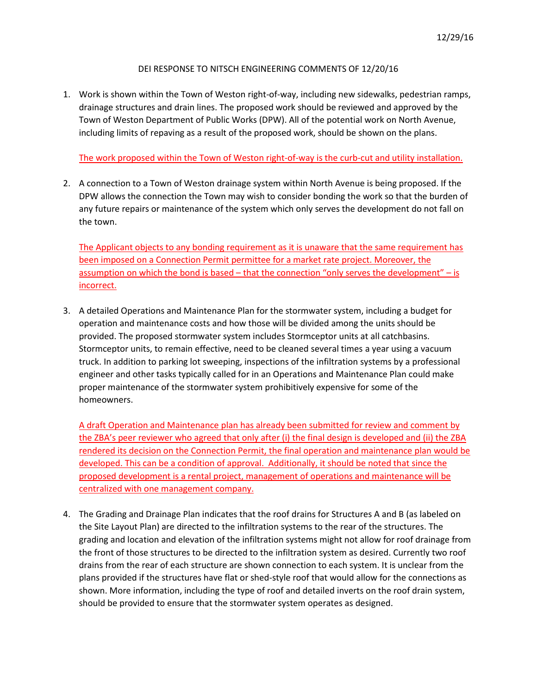## DEI RESPONSE TO NITSCH ENGINEERING COMMENTS OF 12/20/16

1. Work is shown within the Town of Weston right-of-way, including new sidewalks, pedestrian ramps, drainage structures and drain lines. The proposed work should be reviewed and approved by the Town of Weston Department of Public Works (DPW). All of the potential work on North Avenue, including limits of repaving as a result of the proposed work, should be shown on the plans.

The work proposed within the Town of Weston right-of-way is the curb-cut and utility installation.

2. A connection to a Town of Weston drainage system within North Avenue is being proposed. If the DPW allows the connection the Town may wish to consider bonding the work so that the burden of any future repairs or maintenance of the system which only serves the development do not fall on the town.

The Applicant objects to any bonding requirement as it is unaware that the same requirement has been imposed on a Connection Permit permittee for a market rate project. Moreover, the assumption on which the bond is based – that the connection "only serves the development" – is incorrect.

3. A detailed Operations and Maintenance Plan for the stormwater system, including a budget for operation and maintenance costs and how those will be divided among the units should be provided. The proposed stormwater system includes Stormceptor units at all catchbasins. Stormceptor units, to remain effective, need to be cleaned several times a year using a vacuum truck. In addition to parking lot sweeping, inspections of the infiltration systems by a professional engineer and other tasks typically called for in an Operations and Maintenance Plan could make proper maintenance of the stormwater system prohibitively expensive for some of the homeowners.

A draft Operation and Maintenance plan has already been submitted for review and comment by the ZBA's peer reviewer who agreed that only after (i) the final design is developed and (ii) the ZBA rendered its decision on the Connection Permit, the final operation and maintenance plan would be developed. This can be a condition of approval. Additionally, it should be noted that since the proposed development is a rental project, management of operations and maintenance will be centralized with one management company.

4. The Grading and Drainage Plan indicates that the roof drains for Structures A and B (as labeled on the Site Layout Plan) are directed to the infiltration systems to the rear of the structures. The grading and location and elevation of the infiltration systems might not allow for roof drainage from the front of those structures to be directed to the infiltration system as desired. Currently two roof drains from the rear of each structure are shown connection to each system. It is unclear from the plans provided if the structures have flat or shed-style roof that would allow for the connections as shown. More information, including the type of roof and detailed inverts on the roof drain system, should be provided to ensure that the stormwater system operates as designed.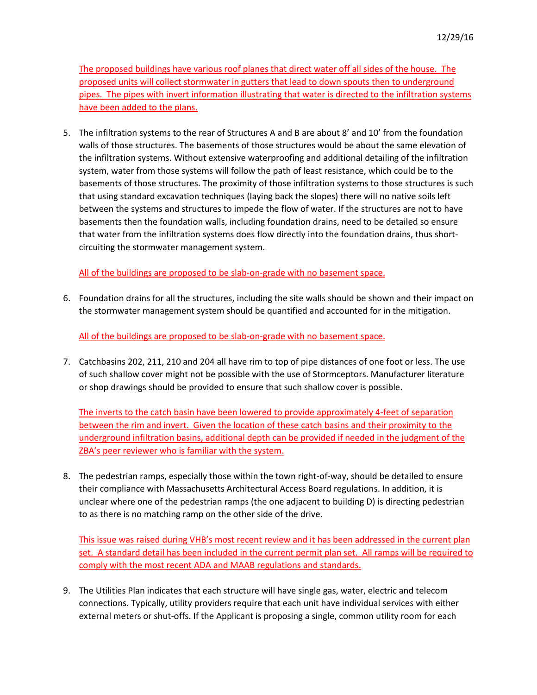The proposed buildings have various roof planes that direct water off all sides of the house. The proposed units will collect stormwater in gutters that lead to down spouts then to underground pipes. The pipes with invert information illustrating that water is directed to the infiltration systems have been added to the plans.

5. The infiltration systems to the rear of Structures A and B are about 8' and 10' from the foundation walls of those structures. The basements of those structures would be about the same elevation of the infiltration systems. Without extensive waterproofing and additional detailing of the infiltration system, water from those systems will follow the path of least resistance, which could be to the basements of those structures. The proximity of those infiltration systems to those structures is such that using standard excavation techniques (laying back the slopes) there will no native soils left between the systems and structures to impede the flow of water. If the structures are not to have basements then the foundation walls, including foundation drains, need to be detailed so ensure that water from the infiltration systems does flow directly into the foundation drains, thus shortcircuiting the stormwater management system.

All of the buildings are proposed to be slab-on-grade with no basement space.

6. Foundation drains for all the structures, including the site walls should be shown and their impact on the stormwater management system should be quantified and accounted for in the mitigation.

All of the buildings are proposed to be slab-on-grade with no basement space.

7. Catchbasins 202, 211, 210 and 204 all have rim to top of pipe distances of one foot or less. The use of such shallow cover might not be possible with the use of Stormceptors. Manufacturer literature or shop drawings should be provided to ensure that such shallow cover is possible.

The inverts to the catch basin have been lowered to provide approximately 4-feet of separation between the rim and invert. Given the location of these catch basins and their proximity to the underground infiltration basins, additional depth can be provided if needed in the judgment of the ZBA's peer reviewer who is familiar with the system.

8. The pedestrian ramps, especially those within the town right-of-way, should be detailed to ensure their compliance with Massachusetts Architectural Access Board regulations. In addition, it is unclear where one of the pedestrian ramps (the one adjacent to building D) is directing pedestrian to as there is no matching ramp on the other side of the drive.

This issue was raised during VHB's most recent review and it has been addressed in the current plan set. A standard detail has been included in the current permit plan set. All ramps will be required to comply with the most recent ADA and MAAB regulations and standards.

9. The Utilities Plan indicates that each structure will have single gas, water, electric and telecom connections. Typically, utility providers require that each unit have individual services with either external meters or shut-offs. If the Applicant is proposing a single, common utility room for each